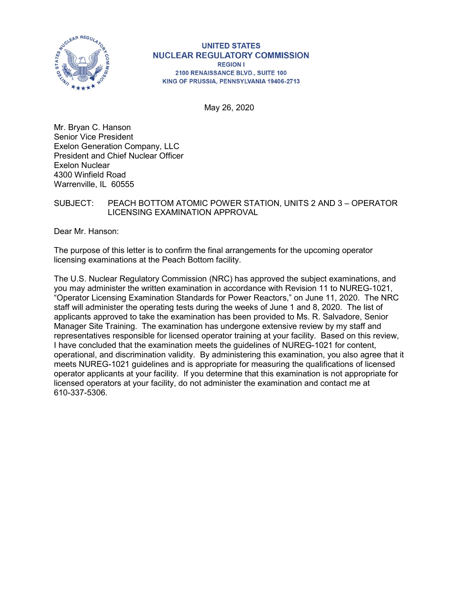

#### **UNITED STATES NUCLEAR REGULATORY COMMISSION REGION I** 2100 RENAISSANCE BLVD., SUITE 100 KING OF PRUSSIA, PENNSYLVANIA 19406-2713

May 26, 2020

Mr. Bryan C. Hanson Senior Vice President Exelon Generation Company, LLC President and Chief Nuclear Officer Exelon Nuclear 4300 Winfield Road Warrenville, IL 60555

## SUBJECT: PEACH BOTTOM ATOMIC POWER STATION, UNITS 2 AND 3 – OPERATOR LICENSING EXAMINATION APPROVAL

Dear Mr. Hanson:

The purpose of this letter is to confirm the final arrangements for the upcoming operator licensing examinations at the Peach Bottom facility.

The U.S. Nuclear Regulatory Commission (NRC) has approved the subject examinations, and you may administer the written examination in accordance with Revision 11 to NUREG-1021, "Operator Licensing Examination Standards for Power Reactors," on June 11, 2020. The NRC staff will administer the operating tests during the weeks of June 1 and 8, 2020. The list of applicants approved to take the examination has been provided to Ms. R. Salvadore, Senior Manager Site Training. The examination has undergone extensive review by my staff and representatives responsible for licensed operator training at your facility. Based on this review, I have concluded that the examination meets the guidelines of NUREG-1021 for content, operational, and discrimination validity. By administering this examination, you also agree that it meets NUREG-1021 guidelines and is appropriate for measuring the qualifications of licensed operator applicants at your facility. If you determine that this examination is not appropriate for licensed operators at your facility, do not administer the examination and contact me at 610-337-5306.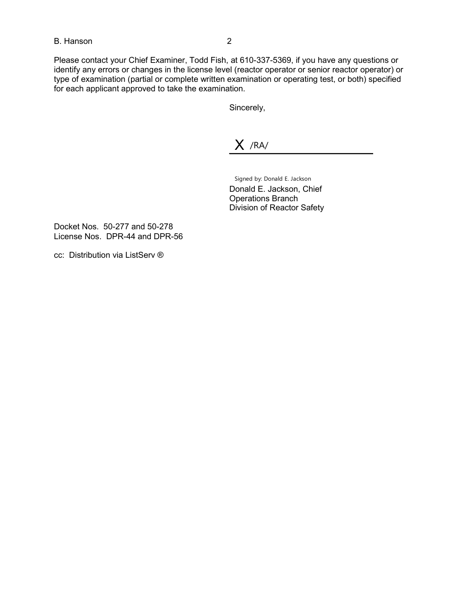### B. Hanson 2

Please contact your Chief Examiner, Todd Fish, at 610-337-5369, if you have any questions or identify any errors or changes in the license level (reactor operator or senior reactor operator) or type of examination (partial or complete written examination or operating test, or both) specified for each applicant approved to take the examination.

Sincerely,

X /RA/

Signed by: Donald E. Jackson Donald E. Jackson, Chief

Operations Branch Division of Reactor Safety

Docket Nos. 50-277 and 50-278 License Nos. DPR-44 and DPR-56

cc: Distribution via ListServ ®